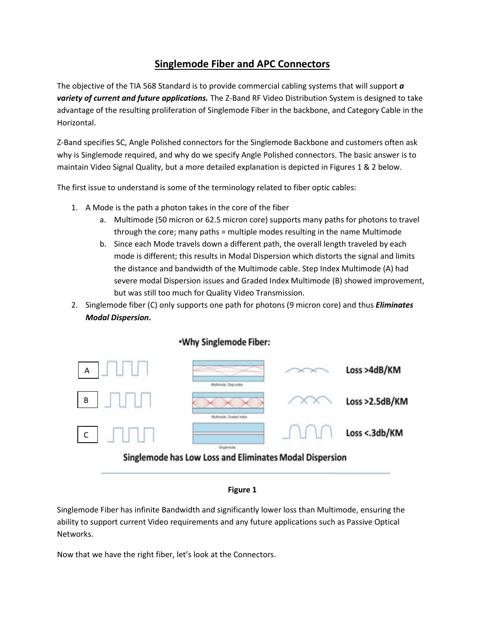## **Singlemode Fiber and APC Connectors**

The objective of the TIA 568 Standard is to provide commercial cabling systems that will support *a variety of current and future applications.* The Z-Band RF Video Distribution System is designed to take advantage of the resulting proliferation of Singlemode Fiber in the backbone, and Category Cable in the Horizontal.

Z-Band specifies SC, Angle Polished connectors for the Singlemode Backbone and customers often ask why is Singlemode required, and why do we specify Angle Polished connectors. The basic answer is to maintain Video Signal Quality, but a more detailed explanation is depicted in Figures 1 & 2 below.

The first issue to understand is some of the terminology related to fiber optic cables:

- 1. A Mode is the path a photon takes in the core of the fiber
	- a. Multimode (50 micron or 62.5 micron core) supports many paths for photons to travel through the core; many paths = multiple modes resulting in the name Multimode
	- b. Since each Mode travels down a different path, the overall length traveled by each mode is different; this results in Modal Dispersion which distorts the signal and limits the distance and bandwidth of the Multimode cable. Step Index Multimode (A) had severe modal Dispersion issues and Graded Index Multimode (B) showed improvement, but was still too much for Quality Video Transmission.
- 2. Singlemode fiber (C) only supports one path for photons (9 micron core) and thus *Eliminates Modal Dispersion***.**



## .Why Singlemode Fiber:

## **Figure 1**

Singlemode Fiber has infinite Bandwidth and significantly lower loss than Multimode, ensuring the ability to support current Video requirements and any future applications such as Passive Optical Networks.

Now that we have the right fiber, let's look at the Connectors.